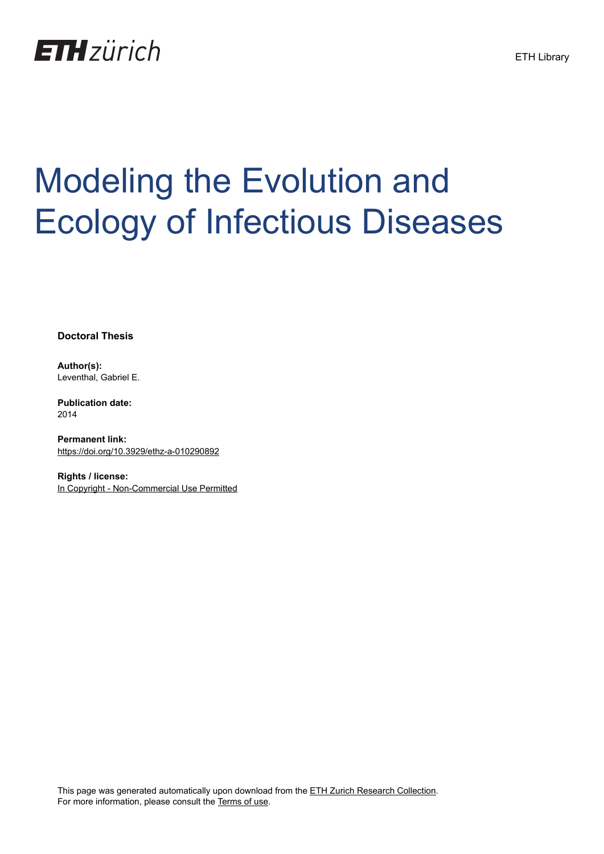

# Modeling the Evolution and Ecology of Infectious Diseases

**Doctoral Thesis**

**Author(s):** Leventhal, Gabriel E.

**Publication date:** 2014

**Permanent link:** <https://doi.org/10.3929/ethz-a-010290892>

**Rights / license:** [In Copyright - Non-Commercial Use Permitted](http://rightsstatements.org/page/InC-NC/1.0/)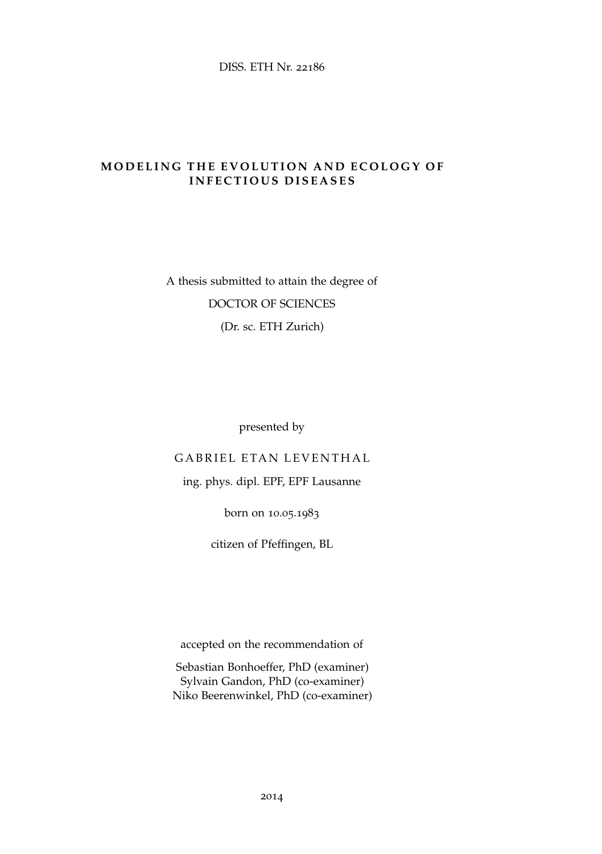#### **MODELING THE EVOLUTION AND ECOLOGY OF INFECTIOUS DISEASES**

## A thesis submitted to attain the degree of DOCTOR OF SCIENCES (Dr. sc. ETH Zurich)

presented by

#### GABRIEL ETAN LEVENTHAL

### ing. phys. dipl. EPF, EPF Lausanne

born on 10.05.1983

citizen of Pfeffingen, BL

accepted on the recommendation of

Sebastian Bonhoeffer, PhD (examiner) Sylvain Gandon, PhD (co-examiner) Niko Beerenwinkel, PhD (co-examiner)

2014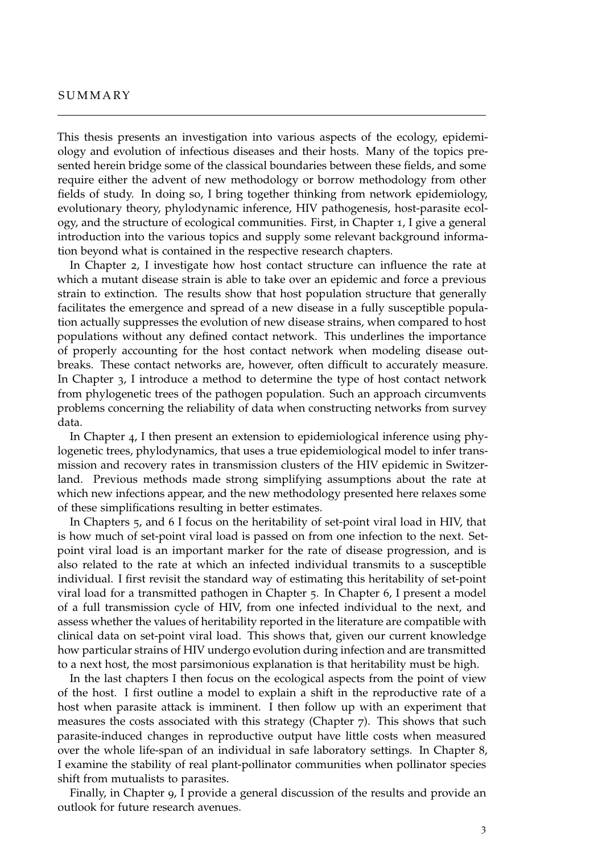#### **SUMMARY**

This thesis presents an investigation into various aspects of the ecology, epidemiology and evolution of infectious diseases and their hosts. Many of the topics presented herein bridge some of the classical boundaries between these fields, and some require either the advent of new methodology or borrow methodology from other fields of study. In doing so, I bring together thinking from network epidemiology, evolutionary theory, phylodynamic inference, HIV pathogenesis, host-parasite ecology, and the structure of ecological communities. First, in Chapter [1](#page--1-0), I give a general introduction into the various topics and supply some relevant background information beyond what is contained in the respective research chapters.

In Chapter [2](#page--1-0), I investigate how host contact structure can influence the rate at which a mutant disease strain is able to take over an epidemic and force a previous strain to extinction. The results show that host population structure that generally facilitates the emergence and spread of a new disease in a fully susceptible population actually suppresses the evolution of new disease strains, when compared to host populations without any defined contact network. This underlines the importance of properly accounting for the host contact network when modeling disease outbreaks. These contact networks are, however, often difficult to accurately measure. In Chapter [3](#page--1-0), I introduce a method to determine the type of host contact network from phylogenetic trees of the pathogen population. Such an approach circumvents problems concerning the reliability of data when constructing networks from survey data.

In Chapter [4](#page--1-0), I then present an extension to epidemiological inference using phylogenetic trees, phylodynamics, that uses a true epidemiological model to infer transmission and recovery rates in transmission clusters of the HIV epidemic in Switzerland. Previous methods made strong simplifying assumptions about the rate at which new infections appear, and the new methodology presented here relaxes some of these simplifications resulting in better estimates.

In Chapters [5](#page--1-0), and [6](#page--1-0) I focus on the heritability of set-point viral load in HIV, that is how much of set-point viral load is passed on from one infection to the next. Setpoint viral load is an important marker for the rate of disease progression, and is also related to the rate at which an infected individual transmits to a susceptible individual. I first revisit the standard way of estimating this heritability of set-point viral load for a transmitted pathogen in Chapter [5](#page--1-0). In Chapter [6](#page--1-0), I present a model of a full transmission cycle of HIV, from one infected individual to the next, and assess whether the values of heritability reported in the literature are compatible with clinical data on set-point viral load. This shows that, given our current knowledge how particular strains of HIV undergo evolution during infection and are transmitted to a next host, the most parsimonious explanation is that heritability must be high.

In the last chapters I then focus on the ecological aspects from the point of view of the host. I first outline a model to explain a shift in the reproductive rate of a host when parasite attack is imminent. I then follow up with an experiment that measures the costs associated with this strategy (Chapter [7](#page--1-0)). This shows that such parasite-induced changes in reproductive output have little costs when measured over the whole life-span of an individual in safe laboratory settings. In Chapter [8](#page--1-0), I examine the stability of real plant-pollinator communities when pollinator species shift from mutualists to parasites.

Finally, in Chapter [9](#page--1-0), I provide a general discussion of the results and provide an outlook for future research avenues.